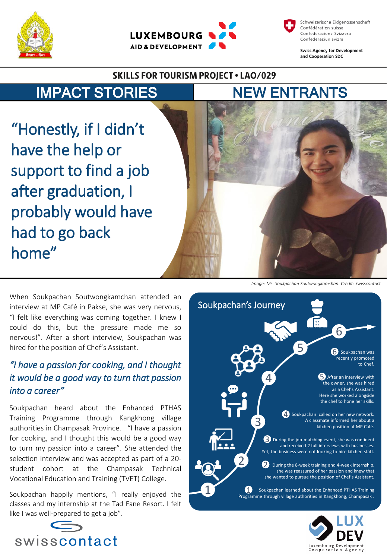





**Swiss Agency for Development** and Cooperation SDC

#### **SKILLS FOR TOURISM PROJECT . LAO/029**

## IMPACT STORIES NEW ENTRANTS

"Honestly, if I didn't have the help or support to find a job after graduation, I probably would have had to go back home"

When Soukpachan Soutwongkamchan attended an interview at MP Café in Pakse, she was very nervous, "I felt like everything was coming together. I knew I could do this, but the pressure made me so nervous!". After a short interview, Soukpachan was hired for the position of Chef's Assistant.

### *"I have a passion for cooking, and I thought it would be a good way to turn that passion into a career"*

Soukpachan heard about the Enhanced PTHAS Training Programme through Kangkhong village authorities in Champasak Province. "I have a passion for cooking, and I thought this would be a good way to turn my passion into a career". She attended the selection interview and was accepted as part of a 20 student cohort at the Champasak Technical Vocational Education and Training (TVET) College.

Soukpachan happily mentions, "I really enjoyed the classes and my internship at the Tad Fane Resort. I felt like I was well-prepared to get a job".